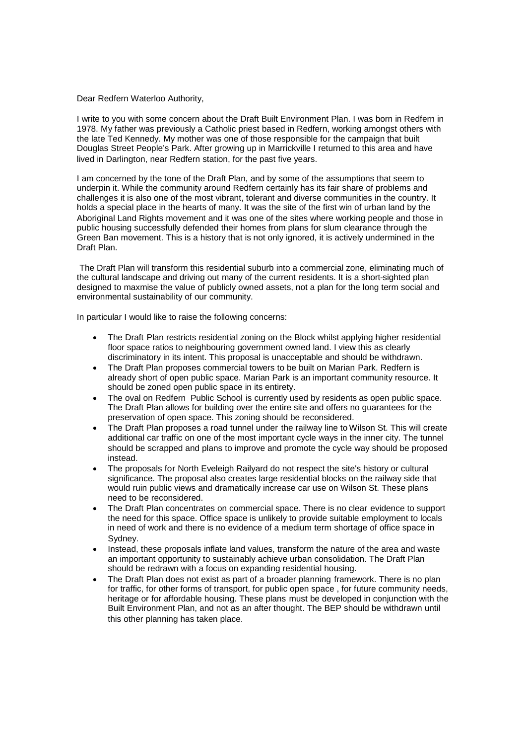Dear Redfern Waterloo Authority,

I write to you with some concern about the Draft Built Environment Plan. I was born in Redfern in 1978. My father was previously a Catholic priest based in Redfern, working amongst others with the late Ted Kennedy. My mother was one of those responsible for the campaign that built Douglas Street People's Park. After growing up in Marrickville I returned to this area and have lived in Darlington, near Redfern station, for the past five years.

I am concerned by the tone of the Draft Plan, and by some of the assumptions that seem to underpin it. While the community around Redfern certainly has its fair share of problems and challenges it is also one of the most vibrant, tolerant and diverse communities in the country. It holds a special place in the hearts of many. It was the site of the first win of urban land by the Aboriginal Land Rights movement and it was one of the sites where working people and those in public housing successfully defended their homes from plans for slum clearance through the Green Ban movement. This is a history that is not only ignored, it is actively undermined in the Draft Plan.

The Draft Plan will transform this residential suburb into a commercial zone, eliminating much of the cultural landscape and driving out many of the current residents. It is a short-sighted plan designed to maxmise the value of publicly owned assets, not a plan for the long term social and environmental sustainability of our community.

In particular I would like to raise the following concerns:

- The Draft Plan restricts residential zoning on the Block whilst applying higher residential floor space ratios to neighbouring government owned land. I view this as clearly discriminatory in its intent. This proposal is unacceptable and should be withdrawn.
- The Draft Plan proposes commercial towers to be built on Marian Park. Redfern is already short of open public space. Marian Park is an important community resource. It should be zoned open public space in its entirety.
- The oval on Redfern Public School is currently used by residents as open public space. The Draft Plan allows for building over the entire site and offers no guarantees for the preservation of open space. This zoning should be reconsidered.
- The Draft Plan proposes a road tunnel under the railway line to Wilson St. This will create additional car traffic on one of the most important cycle ways in the inner city. The tunnel should be scrapped and plans to improve and promote the cycle way should be proposed instead.
- The proposals for North Eveleigh Railyard do not respect the site's history or cultural significance. The proposal also creates large residential blocks on the railway side that would ruin public views and dramatically increase car use on Wilson St. These plans need to be reconsidered.
- The Draft Plan concentrates on commercial space. There is no clear evidence to support the need for this space. Office space is unlikely to provide suitable employment to locals in need of work and there is no evidence of a medium term shortage of office space in Sydney.
- Instead, these proposals inflate land values, transform the nature of the area and waste an important opportunity to sustainably achieve urban consolidation. The Draft Plan should be redrawn with a focus on expanding residential housing.
- The Draft Plan does not exist as part of a broader planning framework. There is no plan for traffic, for other forms of transport, for public open space , for future community needs, heritage or for affordable housing. These plans must be developed in conjunction with the Built Environment Plan, and not as an after thought. The BEP should be withdrawn until this other planning has taken place.